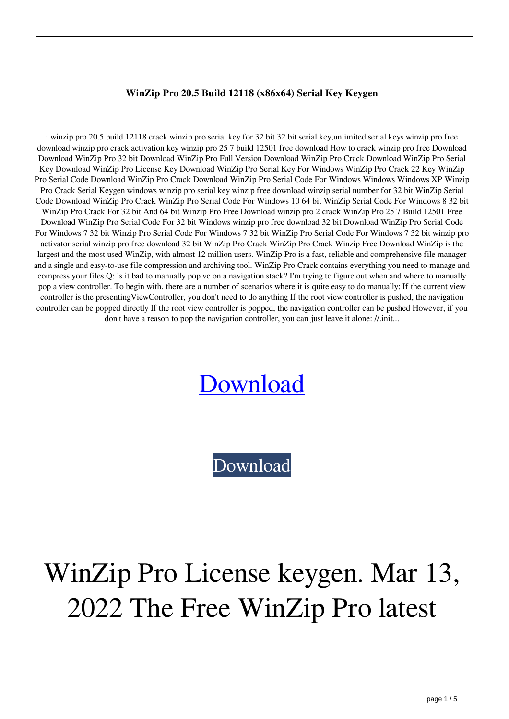## **WinZip Pro 20.5 Build 12118 (x86x64) Serial Key Keygen**

i winzip pro 20.5 build 12118 crack winzip pro serial key for 32 bit 32 bit serial key,unlimited serial keys winzip pro free download winzip pro crack activation key winzip pro 25 7 build 12501 free download How to crack winzip pro free Download Download WinZip Pro 32 bit Download WinZip Pro Full Version Download WinZip Pro Crack Download WinZip Pro Serial Key Download WinZip Pro License Key Download WinZip Pro Serial Key For Windows WinZip Pro Crack 22 Key WinZip Pro Serial Code Download WinZip Pro Crack Download WinZip Pro Serial Code For Windows Windows Windows XP Winzip Pro Crack Serial Keygen windows winzip pro serial key winzip free download winzip serial number for 32 bit WinZip Serial Code Download WinZip Pro Crack WinZip Pro Serial Code For Windows 10 64 bit WinZip Serial Code For Windows 8 32 bit WinZip Pro Crack For 32 bit And 64 bit Winzip Pro Free Download winzip pro 2 crack WinZip Pro 25 7 Build 12501 Free Download WinZip Pro Serial Code For 32 bit Windows winzip pro free download 32 bit Download WinZip Pro Serial Code For Windows 7 32 bit Winzip Pro Serial Code For Windows 7 32 bit WinZip Pro Serial Code For Windows 7 32 bit winzip pro activator serial winzip pro free download 32 bit WinZip Pro Crack WinZip Pro Crack Winzip Free Download WinZip is the largest and the most used WinZip, with almost 12 million users. WinZip Pro is a fast, reliable and comprehensive file manager and a single and easy-to-use file compression and archiving tool. WinZip Pro Crack contains everything you need to manage and compress your files.Q: Is it bad to manually pop vc on a navigation stack? I'm trying to figure out when and where to manually pop a view controller. To begin with, there are a number of scenarios where it is quite easy to do manually: If the current view controller is the presentingViewController, you don't need to do anything If the root view controller is pushed, the navigation controller can be popped directly If the root view controller is popped, the navigation controller can be pushed However, if you don't have a reason to pop the navigation controller, you can just leave it alone: //.init...

## [Download](http://evacdir.com/gaggle.ZG93bmxvYWR8N21RTVRjMWVYeDhNVFkxTWpjME1EZzJObng4TWpVM05IeDhLRTBwSUhKbFlXUXRZbXh2WnlCYlJtRnpkQ0JIUlU1ZA?norqual=/V2luWmlwIFBybyAyMC41IEJ1aWxkIDEyMTE4ICh4ODZ4NjQpIFNlcmlhbCBLZXkga2V5Z2VuV2l/regaine.providenciales.topiary)

[Download](http://evacdir.com/gaggle.ZG93bmxvYWR8N21RTVRjMWVYeDhNVFkxTWpjME1EZzJObng4TWpVM05IeDhLRTBwSUhKbFlXUXRZbXh2WnlCYlJtRnpkQ0JIUlU1ZA?norqual=/V2luWmlwIFBybyAyMC41IEJ1aWxkIDEyMTE4ICh4ODZ4NjQpIFNlcmlhbCBLZXkga2V5Z2VuV2l/regaine.providenciales.topiary)

## WinZip Pro License keygen. Mar 13, 2022 The Free WinZip Pro latest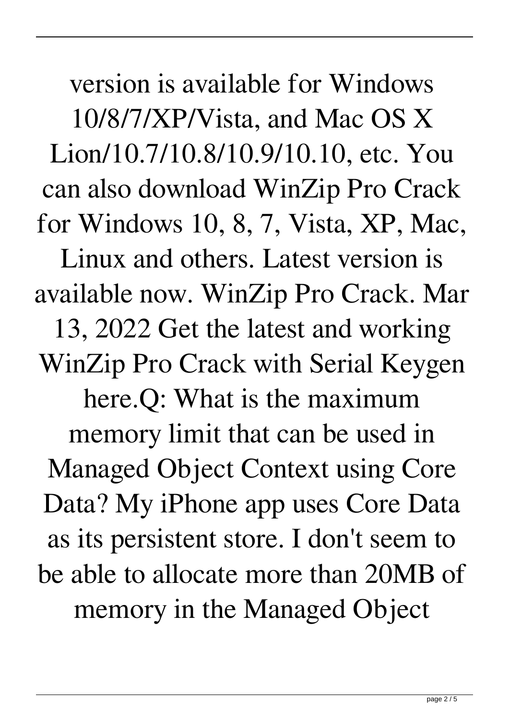version is available for Windows 10/8/7/XP/Vista, and Mac OS X Lion/10.7/10.8/10.9/10.10, etc. You can also download WinZip Pro Crack for Windows 10, 8, 7, Vista, XP, Mac, Linux and others. Latest version is available now. WinZip Pro Crack. Mar 13, 2022 Get the latest and working WinZip Pro Crack with Serial Keygen here.Q: What is the maximum memory limit that can be used in Managed Object Context using Core Data? My iPhone app uses Core Data as its persistent store. I don't seem to be able to allocate more than 20MB of memory in the Managed Object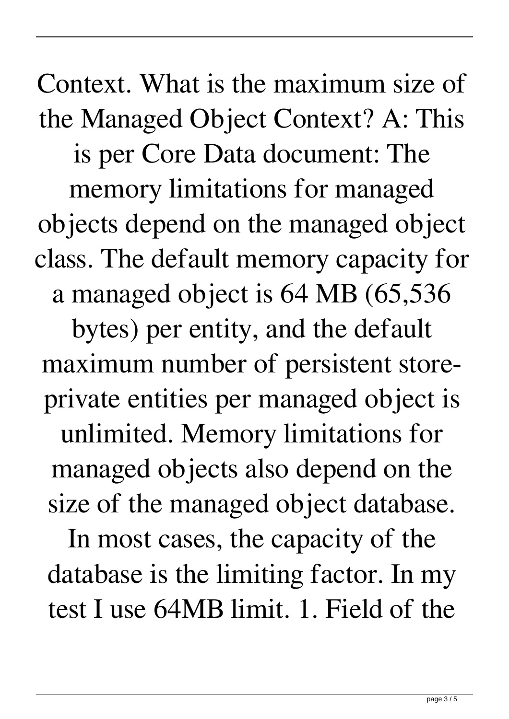Context. What is the maximum size of the Managed Object Context? A: This is per Core Data document: The memory limitations for managed objects depend on the managed object class. The default memory capacity for a managed object is 64 MB (65,536 bytes) per entity, and the default maximum number of persistent storeprivate entities per managed object is unlimited. Memory limitations for managed objects also depend on the size of the managed object database. In most cases, the capacity of the database is the limiting factor. In my

test I use 64MB limit. 1. Field of the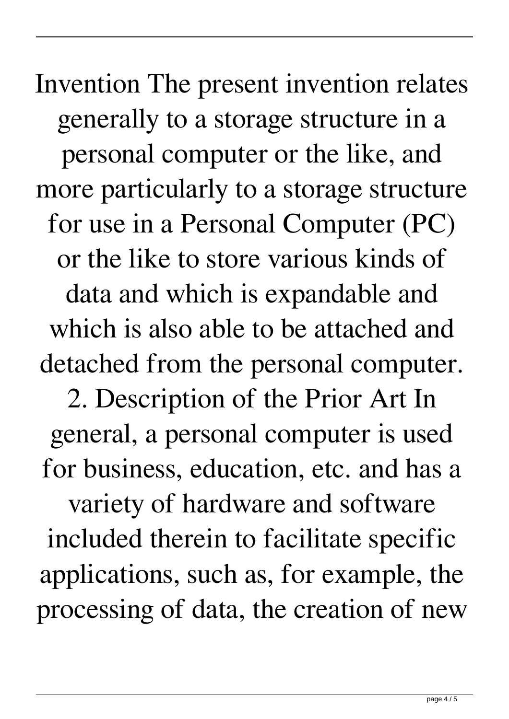Invention The present invention relates generally to a storage structure in a personal computer or the like, and more particularly to a storage structure for use in a Personal Computer (PC) or the like to store various kinds of data and which is expandable and which is also able to be attached and detached from the personal computer. 2. Description of the Prior Art In general, a personal computer is used for business, education, etc. and has a variety of hardware and software included therein to facilitate specific applications, such as, for example, the processing of data, the creation of new